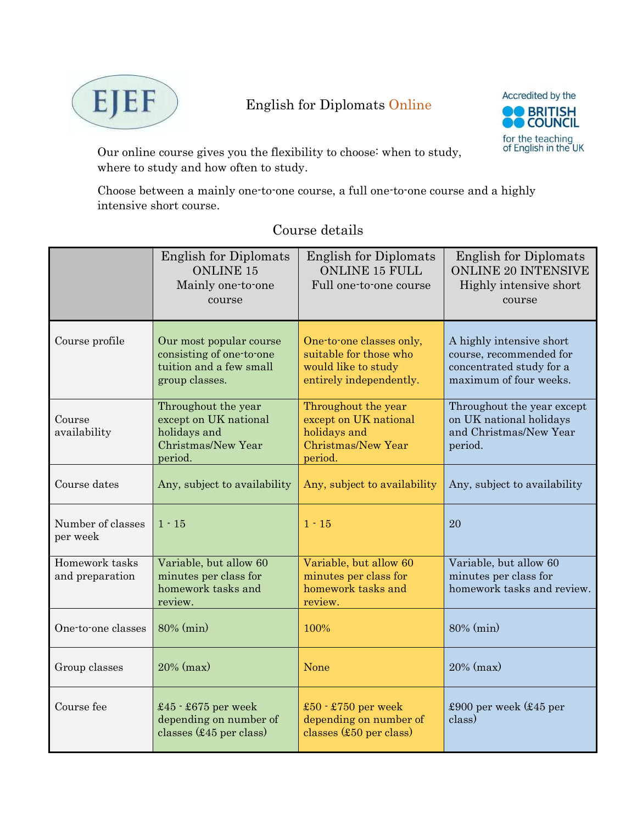

# English for Diplomats Online



Our online course gives you the flexibility to choose: when to study, where to study and how often to study.

Choose between a mainly one-to-one course, a full one-to-one course and a highly intensive short course.

|                                   | <b>English for Diplomats</b><br><b>ONLINE 15</b><br>Mainly one-to-one<br>course                  | <b>English for Diplomats</b><br><b>ONLINE 15 FULL</b><br>Full one-to-one course                      | <b>English for Diplomats</b><br><b>ONLINE 20 INTENSIVE</b><br>Highly intensive short<br>course            |
|-----------------------------------|--------------------------------------------------------------------------------------------------|------------------------------------------------------------------------------------------------------|-----------------------------------------------------------------------------------------------------------|
| Course profile                    | Our most popular course<br>consisting of one-to-one<br>tuition and a few small<br>group classes. | One-to-one classes only,<br>suitable for those who<br>would like to study<br>entirely independently. | A highly intensive short<br>course, recommended for<br>concentrated study for a<br>maximum of four weeks. |
| Course<br>availability            | Throughout the year<br>except on UK national<br>holidays and<br>Christmas/New Year<br>period.    | Throughout the year<br>except on UK national<br>holidays and<br>Christmas/New Year<br>period.        | Throughout the year except<br>on UK national holidays<br>and Christmas/New Year<br>period.                |
| Course dates                      | Any, subject to availability                                                                     | Any, subject to availability                                                                         | Any, subject to availability                                                                              |
| Number of classes<br>per week     | $1 - 15$                                                                                         | $1 - 15$                                                                                             | 20                                                                                                        |
| Homework tasks<br>and preparation | Variable, but allow 60<br>minutes per class for<br>homework tasks and<br>review.                 | Variable, but allow 60<br>minutes per class for<br>homework tasks and<br>review.                     | Variable, but allow 60<br>minutes per class for<br>homework tasks and review.                             |
| One-to-one classes                | 80% (min)                                                                                        | 100%                                                                                                 | 80% (min)                                                                                                 |
| Group classes                     | $20\%$ (max)                                                                                     | None                                                                                                 | $20\%$ (max)                                                                                              |
| Course fee                        | $£45 - £675$ per week<br>depending on number of<br>classes $($45$ per class)                     | £50 $\cdot$ £750 per week<br>depending on number of<br>classes (£50 per class)                       | £900 per week $(£45$ per<br>class)                                                                        |

## Course details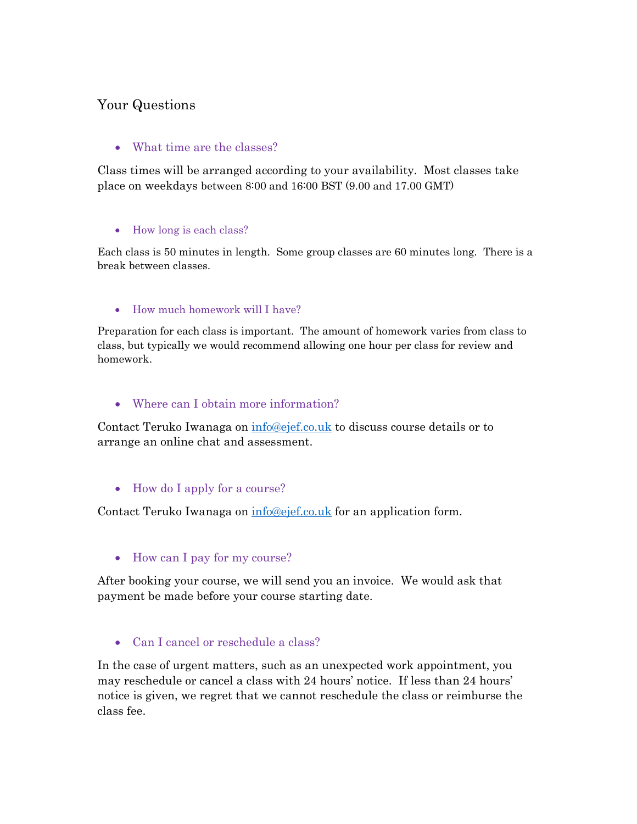## Your Questions

### • What time are the classes?

Class times will be arranged according to your availability. Most classes take place on weekdays between 8:00 and 16:00 BST (9.00 and 17.00 GMT)

#### • How long is each class?

Each class is 50 minutes in length. Some group classes are 60 minutes long. There is a break between classes.

#### How much homework will I have?

Preparation for each class is important. The amount of homework varies from class to class, but typically we would recommend allowing one hour per class for review and homework.

### Where can I obtain more information?

Contact Teruko Iwanaga on info@ejef.co.uk to discuss course details or to arrange an online chat and assessment.

#### • How do I apply for a course?

Contact Teruko Iwanaga on info@ejef.co.uk for an application form.

#### • How can I pay for my course?

After booking your course, we will send you an invoice. We would ask that payment be made before your course starting date.

• Can I cancel or reschedule a class?

In the case of urgent matters, such as an unexpected work appointment, you may reschedule or cancel a class with 24 hours' notice. If less than 24 hours' notice is given, we regret that we cannot reschedule the class or reimburse the class fee.